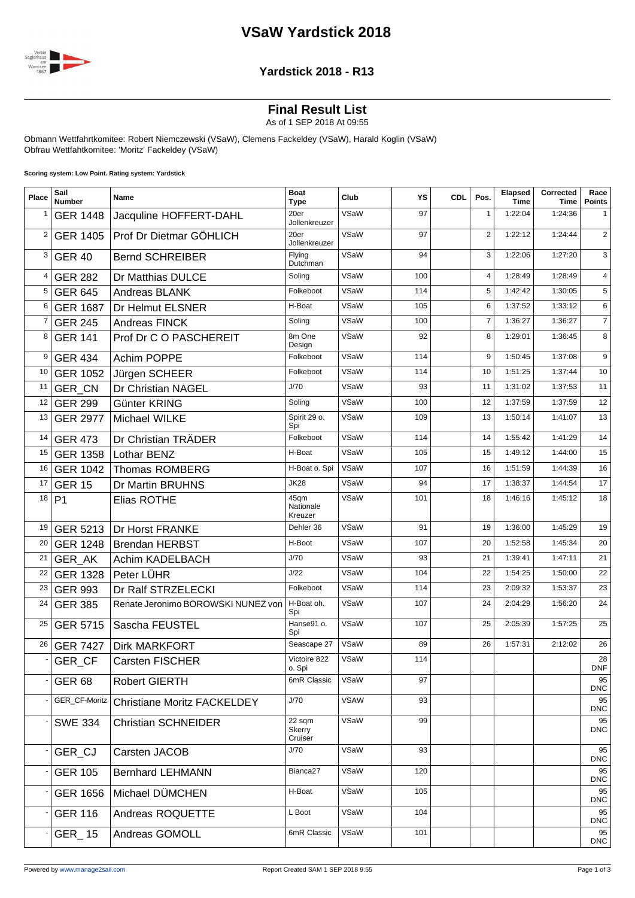# **VSaW Yardstick 2018**



#### **Yardstick 2018 - R13**

## **Final Result List**

As of 1 SEP 2018 At 09:55

Obmann Wettfahrtkomitee: Robert Niemczewski (VSaW), Clemens Fackeldey (VSaW), Harald Koglin (VSaW) Obfrau Wettfahtkomitee: 'Moritz' Fackeldey (VSaW)

**Scoring system: Low Point. Rating system: Yardstick**

| Place          | Sail<br><b>Number</b> | Name                               | <b>Boat</b><br><b>Type</b>   | Club        | YS  | <b>CDL</b> | Pos.           | Elapsed<br><b>Time</b> | Corrected<br>Time | Race<br><b>Points</b> |
|----------------|-----------------------|------------------------------------|------------------------------|-------------|-----|------------|----------------|------------------------|-------------------|-----------------------|
| 1              | <b>GER 1448</b>       | Jacquline HOFFERT-DAHL             | 20er<br>Jollenkreuzer        | VSaW        | 97  |            | $\mathbf{1}$   | 1:22:04                | 1:24:36           | 1                     |
| $\overline{2}$ | <b>GER 1405</b>       | Prof Dr Dietmar GÖHLICH            | 20er<br>Jollenkreuzer        | VSaW        | 97  |            | $\overline{2}$ | 1:22:12                | 1:24:44           | 2                     |
| 3              | <b>GER 40</b>         | <b>Bernd SCHREIBER</b>             | Flying<br>Dutchman           | VSaW        | 94  |            | 3              | 1:22:06                | 1:27:20           | 3                     |
| 4              | <b>GER 282</b>        | Dr Matthias DULCE                  | Soling                       | VSaW        | 100 |            | 4              | 1:28:49                | 1:28:49           | $\overline{4}$        |
| 5              | <b>GER 645</b>        | Andreas BLANK                      | Folkeboot                    | VSaW        | 114 |            | 5              | 1:42:42                | 1:30:05           | 5                     |
| 6              | <b>GER 1687</b>       | Dr Helmut ELSNER                   | H-Boat                       | VSaW        | 105 |            | 6              | 1:37:52                | 1:33:12           | 6                     |
| 7              | <b>GER 245</b>        | Andreas FINCK                      | Soling                       | VSaW        | 100 |            | $\overline{7}$ | 1:36:27                | 1:36:27           | $\overline{7}$        |
| 8              | <b>GER 141</b>        | Prof Dr C O PASCHEREIT             | 8m One<br>Design             | VSaW        | 92  |            | 8              | 1:29:01                | 1:36:45           | 8                     |
| 9              | <b>GER 434</b>        | Achim POPPE                        | Folkeboot                    | VSaW        | 114 |            | 9              | 1:50:45                | 1:37:08           | 9                     |
| 10             | <b>GER 1052</b>       | Jürgen SCHEER                      | Folkeboot                    | VSaW        | 114 |            | 10             | 1:51:25                | 1:37:44           | 10                    |
| 11             | GER_CN                | Dr Christian NAGEL                 | J/70                         | VSaW        | 93  |            | 11             | 1:31:02                | 1:37:53           | 11                    |
| 12             | <b>GER 299</b>        | Günter KRING                       | Soling                       | VSaW        | 100 |            | 12             | 1:37:59                | 1:37:59           | 12                    |
| 13             | <b>GER 2977</b>       | Michael WILKE                      | Spirit 29 o.<br>Spi          | VSaW        | 109 |            | 13             | 1:50:14                | 1:41:07           | 13                    |
| 14             | <b>GER 473</b>        | Dr Christian TRÄDER                | Folkeboot                    | VSaW        | 114 |            | 14             | 1:55:42                | 1:41:29           | 14                    |
| 15             | <b>GER 1358</b>       | Lothar BENZ                        | H-Boat                       | VSaW        | 105 |            | 15             | 1:49:12                | 1:44:00           | 15                    |
| 16             | <b>GER 1042</b>       | <b>Thomas ROMBERG</b>              | H-Boat o. Spi                | VSaW        | 107 |            | 16             | 1:51:59                | 1:44:39           | 16                    |
| 17             | <b>GER 15</b>         | Dr Martin BRUHNS                   | <b>JK28</b>                  | VSaW        | 94  |            | 17             | 1:38:37                | 1:44:54           | 17                    |
| 18             | P <sub>1</sub>        | Elias ROTHE                        | 45gm<br>Nationale<br>Kreuzer | VSaW        | 101 |            | 18             | 1:46:16                | 1:45:12           | 18                    |
| 19             | GER 5213              | Dr Horst FRANKE                    | Dehler 36                    | VSaW        | 91  |            | 19             | 1:36:00                | 1:45:29           | 19                    |
| 20             | <b>GER 1248</b>       | <b>Brendan HERBST</b>              | H-Boot                       | VSaW        | 107 |            | 20             | 1:52:58                | 1:45:34           | 20                    |
| 21             | <b>GER AK</b>         | Achim KADELBACH                    | J/70                         | VSaW        | 93  |            | 21             | 1:39:41                | 1:47:11           | 21                    |
| 22             | <b>GER 1328</b>       | Peter LÜHR                         | J/22                         | VSaW        | 104 |            | 22             | 1:54:25                | 1:50:00           | 22                    |
| 23             | <b>GER 993</b>        | Dr Ralf STRZELECKI                 | Folkeboot                    | VSaW        | 114 |            | 23             | 2:09:32                | 1:53:37           | 23                    |
| 24             | <b>GER 385</b>        | Renate Jeronimo BOROWSKI NUNEZ von | H-Boat oh.<br>Spi            | VSaW        | 107 |            | 24             | 2:04:29                | 1:56:20           | 24                    |
| 25             | <b>GER 5715</b>       | Sascha FEUSTEL                     | Hanse91 o.<br>Spi            | VSaW        | 107 |            | 25             | 2:05:39                | 1:57:25           | 25                    |
| 26             | <b>GER 7427</b>       | <b>Dirk MARKFORT</b>               | Seascape 27                  | VSaW        | 89  |            | 26             | 1:57:31                | 2:12:02           | 26                    |
|                | GER_CF                | Carsten FISCHER                    | Victoire 822<br>o. Spi       | VSaW        | 114 |            |                |                        |                   | 28<br>DNF             |
|                | GER <sub>68</sub>     | <b>Robert GIERTH</b>               | 6mR Classic                  | VSaW        | 97  |            |                |                        |                   | 95<br><b>DNC</b>      |
|                | GER_CF-Moritz         | <b>Christiane Moritz FACKELDEY</b> | J/70                         | <b>VSAW</b> | 93  |            |                |                        |                   | 95<br><b>DNC</b>      |
|                | <b>SWE 334</b>        | <b>Christian SCHNEIDER</b>         | 22 sqm<br>Skerry<br>Cruiser  | VSaW        | 99  |            |                |                        |                   | 95<br><b>DNC</b>      |
|                | GER_CJ                | Carsten JACOB                      | J/70                         | VSaW        | 93  |            |                |                        |                   | 95<br><b>DNC</b>      |
|                | <b>GER 105</b>        | <b>Bernhard LEHMANN</b>            | Bianca <sub>27</sub>         | VSaW        | 120 |            |                |                        |                   | 95<br><b>DNC</b>      |
|                | <b>GER 1656</b>       | Michael DÜMCHEN                    | H-Boat                       | VSaW        | 105 |            |                |                        |                   | 95<br><b>DNC</b>      |
|                | <b>GER 116</b>        | Andreas ROQUETTE                   | L Boot                       | VSaW        | 104 |            |                |                        |                   | 95<br><b>DNC</b>      |
|                | GER_15                | Andreas GOMOLL                     | 6mR Classic                  | VSaW        | 101 |            |                |                        |                   | 95<br><b>DNC</b>      |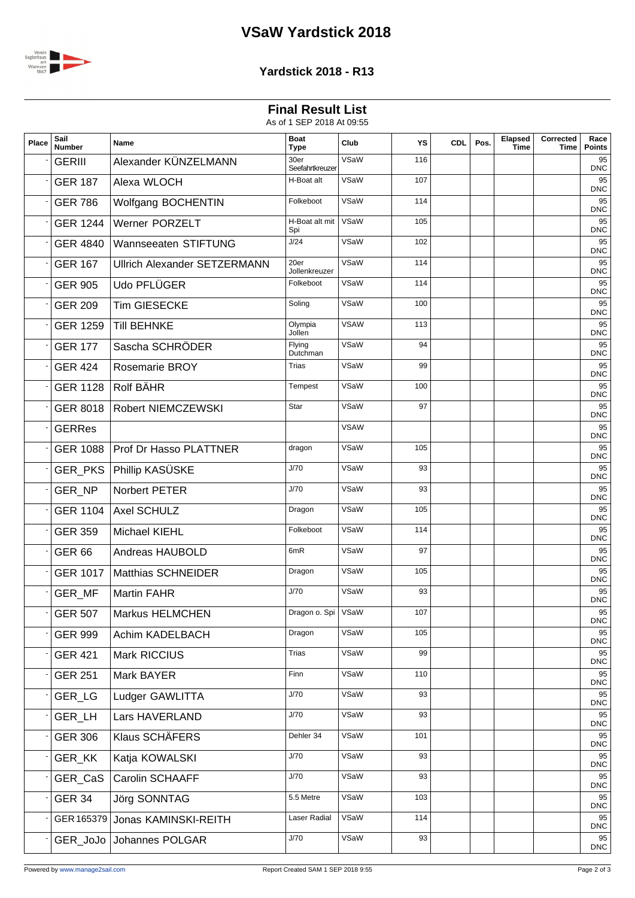# **VSaW Yardstick 2018**



### **Yardstick 2018 - R13**

### **Final Result List**

As of 1 SEP 2018 At 09:55

| Place | Sail<br><b>Number</b> | Name                                | <b>Boat</b><br>Type     | Club        | YS  | <b>CDL</b> | Pos. | Elapsed<br><b>Time</b> | Corrected<br>Time | Race<br><b>Points</b> |
|-------|-----------------------|-------------------------------------|-------------------------|-------------|-----|------------|------|------------------------|-------------------|-----------------------|
|       | <b>GERIII</b>         | Alexander KÜNZELMANN                | 30er<br>Seefahrtkreuzer | VSaW        | 116 |            |      |                        |                   | 95<br><b>DNC</b>      |
|       | <b>GER 187</b>        | Alexa WLOCH                         | H-Boat alt              | VSaW        | 107 |            |      |                        |                   | 95<br><b>DNC</b>      |
|       | <b>GER 786</b>        | Wolfgang BOCHENTIN                  | Folkeboot               | VSaW        | 114 |            |      |                        |                   | 95<br><b>DNC</b>      |
|       | <b>GER 1244</b>       | Werner PORZELT                      | H-Boat alt mit<br>Spi   | VSaW        | 105 |            |      |                        |                   | 95<br><b>DNC</b>      |
|       | <b>GER 4840</b>       | Wannseeaten STIFTUNG                | J/24                    | VSaW        | 102 |            |      |                        |                   | 95<br><b>DNC</b>      |
|       | <b>GER 167</b>        | <b>Ullrich Alexander SETZERMANN</b> | 20er<br>Jollenkreuzer   | VSaW        | 114 |            |      |                        |                   | 95<br><b>DNC</b>      |
|       | <b>GER 905</b>        | Udo PFLÜGER                         | Folkeboot               | VSaW        | 114 |            |      |                        |                   | 95<br><b>DNC</b>      |
|       | <b>GER 209</b>        | <b>Tim GIESECKE</b>                 | Soling                  | VSaW        | 100 |            |      |                        |                   | 95<br><b>DNC</b>      |
|       | <b>GER 1259</b>       | <b>Till BEHNKE</b>                  | Olympia<br>Jollen       | <b>VSAW</b> | 113 |            |      |                        |                   | 95<br><b>DNC</b>      |
|       | <b>GER 177</b>        | Sascha SCHRÖDER                     | Flying<br>Dutchman      | VSaW        | 94  |            |      |                        |                   | 95<br><b>DNC</b>      |
|       | <b>GER 424</b>        | <b>Rosemarie BROY</b>               | <b>Trias</b>            | VSaW        | 99  |            |      |                        |                   | 95<br><b>DNC</b>      |
|       | <b>GER 1128</b>       | Rolf BÄHR                           | Tempest                 | VSaW        | 100 |            |      |                        |                   | 95<br><b>DNC</b>      |
|       | <b>GER 8018</b>       | <b>Robert NIEMCZEWSKI</b>           | Star                    | VSaW        | 97  |            |      |                        |                   | 95<br><b>DNC</b>      |
|       | <b>GERRes</b>         |                                     |                         | <b>VSAW</b> |     |            |      |                        |                   | 95<br><b>DNC</b>      |
|       | <b>GER 1088</b>       | <b>Prof Dr Hasso PLATTNER</b>       | dragon                  | VSaW        | 105 |            |      |                        |                   | 95<br><b>DNC</b>      |
|       |                       | GER_PKS   Phillip KASÜSKE           | J/70                    | VSaW        | 93  |            |      |                        |                   | 95<br><b>DNC</b>      |
|       | GER_NP                | Norbert PETER                       | J/70                    | VSaW        | 93  |            |      |                        |                   | 95<br><b>DNC</b>      |
|       | <b>GER 1104</b>       | Axel SCHULZ                         | Dragon                  | VSaW        | 105 |            |      |                        |                   | 95<br><b>DNC</b>      |
|       | <b>GER 359</b>        | Michael KIEHL                       | Folkeboot               | VSaW        | 114 |            |      |                        |                   | 95<br><b>DNC</b>      |
|       | <b>GER 66</b>         | Andreas HAUBOLD                     | 6mR                     | VSaW        | 97  |            |      |                        |                   | 95<br><b>DNC</b>      |
|       | <b>GER 1017</b>       | <b>Matthias SCHNEIDER</b>           | Dragon                  | VSaW        | 105 |            |      |                        |                   | 95<br><b>DNC</b>      |
|       | GER_MF                | <b>Martin FAHR</b>                  | J/70                    | VSaW        | 93  |            |      |                        |                   | 95<br><b>DNC</b>      |
|       | <b>GER 507</b>        | <b>Markus HELMCHEN</b>              | Dragon o. Spi   VSaW    |             | 107 |            |      |                        |                   | 95<br><b>DNC</b>      |
|       | <b>GER 999</b>        | Achim KADELBACH                     | Dragon                  | VSaW        | 105 |            |      |                        |                   | 95<br><b>DNC</b>      |
|       | <b>GER 421</b>        | Mark RICCIUS                        | <b>Trias</b>            | VSaW        | 99  |            |      |                        |                   | 95<br><b>DNC</b>      |
|       | <b>GER 251</b>        | Mark BAYER                          | Finn                    | VSaW        | 110 |            |      |                        |                   | 95<br><b>DNC</b>      |
|       | GER_LG                | Ludger GAWLITTA                     | J/70                    | VSaW        | 93  |            |      |                        |                   | 95<br><b>DNC</b>      |
|       | GER_LH                | Lars HAVERLAND                      | J/70                    | VSaW        | 93  |            |      |                        |                   | 95<br><b>DNC</b>      |
|       | <b>GER 306</b>        | Klaus SCHÄFERS                      | Dehler 34               | VSaW        | 101 |            |      |                        |                   | 95<br><b>DNC</b>      |
|       | GER_KK                | Katja KOWALSKI                      | J/70                    | VSaW        | 93  |            |      |                        |                   | 95<br><b>DNC</b>      |
|       | GER_CaS               | <b>Carolin SCHAAFF</b>              | J/70                    | VSaW        | 93  |            |      |                        |                   | 95<br><b>DNC</b>      |
|       | <b>GER 34</b>         | Jörg SONNTAG                        | 5.5 Metre               | VSaW        | 103 |            |      |                        |                   | 95<br><b>DNC</b>      |
|       |                       | GER 165379 Jonas KAMINSKI-REITH     | Laser Radial            | VSaW        | 114 |            |      |                        |                   | 95<br><b>DNC</b>      |
|       |                       | GER_JoJo   Johannes POLGAR          | J/70                    | VSaW        | 93  |            |      |                        |                   | 95<br><b>DNC</b>      |
|       |                       |                                     |                         |             |     |            |      |                        |                   |                       |